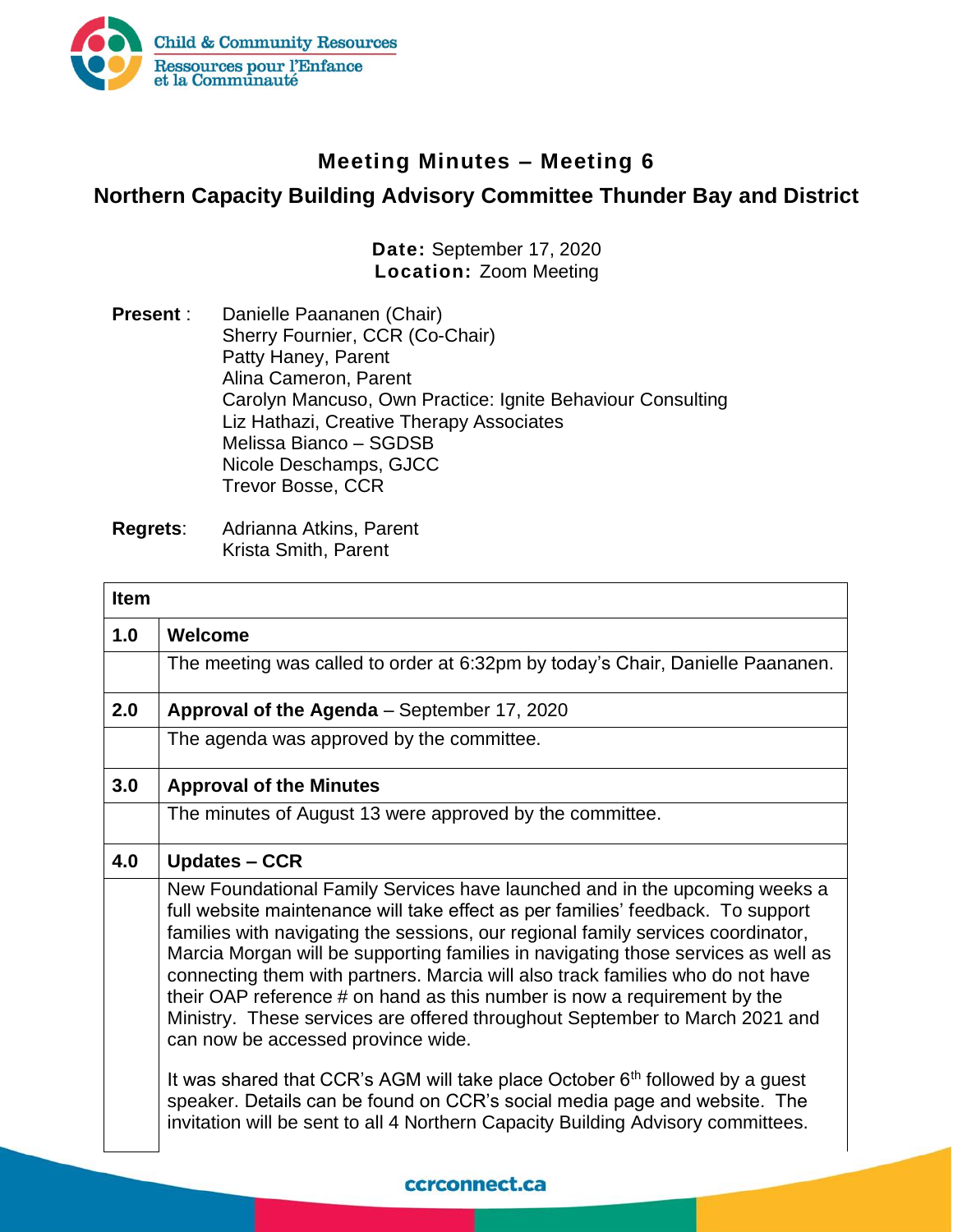

## **Meeting Minutes – Meeting 6**

## **Northern Capacity Building Advisory Committee Thunder Bay and District**

**Date:** September 17, 2020 **Location:** Zoom Meeting

**Present** : Danielle Paananen (Chair) Sherry Fournier, CCR (Co-Chair) Patty Haney, Parent Alina Cameron, Parent Carolyn Mancuso, Own Practice: Ignite Behaviour Consulting Liz Hathazi, Creative Therapy Associates Melissa Bianco – SGDSB Nicole Deschamps, GJCC Trevor Bosse, CCR

| <b>Item</b> |                                                                                                                                                                                                                                                                                                                                                                                                                                                                                                                                                                                                                                                                                                                                                                                                                                                                              |
|-------------|------------------------------------------------------------------------------------------------------------------------------------------------------------------------------------------------------------------------------------------------------------------------------------------------------------------------------------------------------------------------------------------------------------------------------------------------------------------------------------------------------------------------------------------------------------------------------------------------------------------------------------------------------------------------------------------------------------------------------------------------------------------------------------------------------------------------------------------------------------------------------|
| 1.0         | Welcome                                                                                                                                                                                                                                                                                                                                                                                                                                                                                                                                                                                                                                                                                                                                                                                                                                                                      |
|             | The meeting was called to order at 6:32pm by today's Chair, Danielle Paananen.                                                                                                                                                                                                                                                                                                                                                                                                                                                                                                                                                                                                                                                                                                                                                                                               |
| 2.0         | Approval of the Agenda - September 17, 2020                                                                                                                                                                                                                                                                                                                                                                                                                                                                                                                                                                                                                                                                                                                                                                                                                                  |
|             | The agenda was approved by the committee.                                                                                                                                                                                                                                                                                                                                                                                                                                                                                                                                                                                                                                                                                                                                                                                                                                    |
| 3.0         | <b>Approval of the Minutes</b>                                                                                                                                                                                                                                                                                                                                                                                                                                                                                                                                                                                                                                                                                                                                                                                                                                               |
|             | The minutes of August 13 were approved by the committee.                                                                                                                                                                                                                                                                                                                                                                                                                                                                                                                                                                                                                                                                                                                                                                                                                     |
| 4.0         | <b>Updates – CCR</b>                                                                                                                                                                                                                                                                                                                                                                                                                                                                                                                                                                                                                                                                                                                                                                                                                                                         |
|             | New Foundational Family Services have launched and in the upcoming weeks a<br>full website maintenance will take effect as per families' feedback. To support<br>families with navigating the sessions, our regional family services coordinator,<br>Marcia Morgan will be supporting families in navigating those services as well as<br>connecting them with partners. Marcia will also track families who do not have<br>their OAP reference # on hand as this number is now a requirement by the<br>Ministry. These services are offered throughout September to March 2021 and<br>can now be accessed province wide.<br>It was shared that CCR's AGM will take place October $6th$ followed by a guest<br>speaker. Details can be found on CCR's social media page and website. The<br>invitation will be sent to all 4 Northern Capacity Building Advisory committees. |

## ccrconnect.ca

**Regrets**: Adrianna Atkins, Parent Krista Smith, Parent